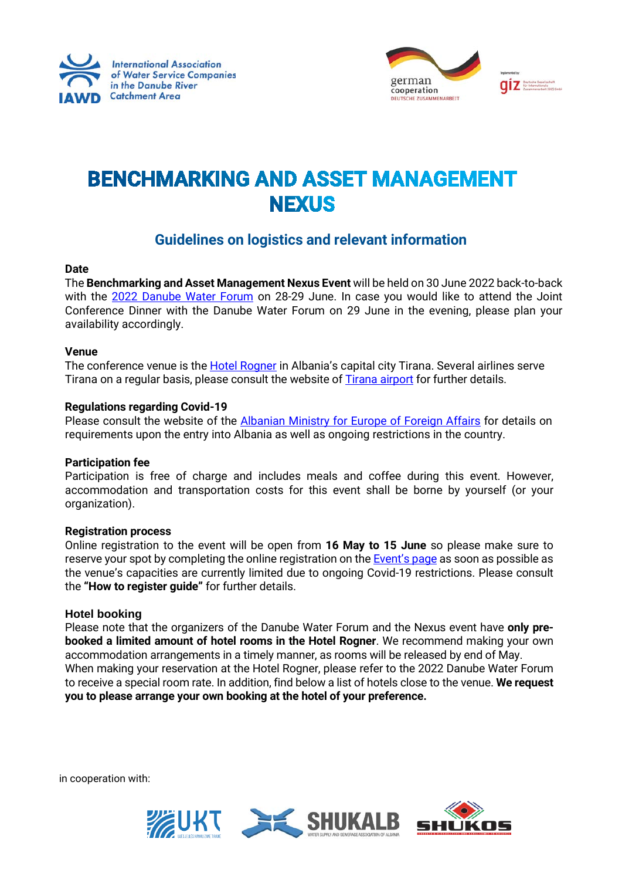



# **BENCHMARKING AND ASSET MANAGEMENT NEXUS**

# **Guidelines on logistics and relevant information**

# **Date**

The **Benchmarking and Asset Management Nexus Event** will be held on 30 June 2022 back-to-back with the [2022 Danube Water Forum](https://www.iawd.at/eng/event/711/details/w/0/2022-danube-water-forum/) on 28-29 June. In case you would like to attend the Joint Conference Dinner with the Danube Water Forum on 29 June in the evening, please plan your availability accordingly.

## **Venue**

The conference venue is the [Hotel Rogner](https://www.hotel-europapark.com/) in Albania's capital city Tirana. Several airlines serve Tirana on a regular basis, please consult the website o[f Tirana airport](https://www.tirana-airport.com/?msclkid=71924e55b10211ec9b50c42347e67a0e) for further details.

## **Regulations regarding Covid-19**

Please consult the website of the [Albanian Ministry for Europe of Foreign Affairs](https://punetejashtme.gov.al/en/informacion-mbi-levizjen-e-shtetasve-te-huaj-ne-shqiperi/) for details on requirements upon the entry into Albania as well as ongoing restrictions in the country.

#### **Participation fee**

Participation is free of charge and includes meals and coffee during this event. However, accommodation and transportation costs for this event shall be borne by yourself (or your organization).

#### **Registration process**

Online registration to the event will be open from **16 May to 15 June** so please make sure to reserve your spot by completing the online registration on th[e Event's page](https://www.iawd.at/eng/event/716/details/1/0/0/) as soon as possible as the venue's capacities are currently limited due to ongoing Covid-19 restrictions. Please consult the **"How to register guide"** for further details.

# **Hotel booking**

Please note that the organizers of the Danube Water Forum and the Nexus event have **only prebooked a limited amount of hotel rooms in the Hotel Rogner**. We recommend making your own accommodation arrangements in a timely manner, as rooms will be released by end of May. When making your reservation at the Hotel Rogner, please refer to the 2022 Danube Water Forum to receive a special room rate. In addition, find below a list of hotels close to the venue. **We request you to please arrange your own booking at the hotel of your preference.**

in cooperation with:

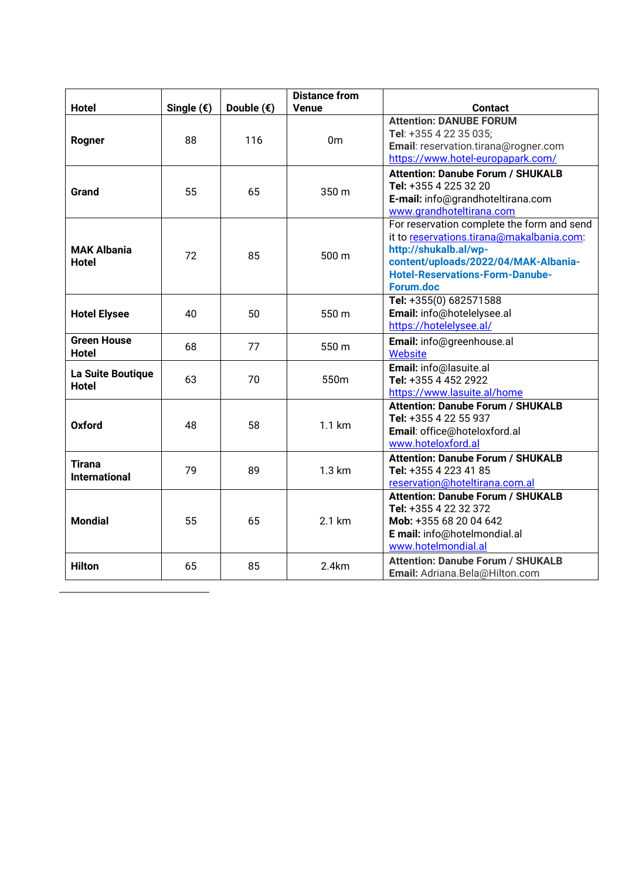|                                       |              |                     | <b>Distance from</b> |                                                                                                                                                                                                                        |
|---------------------------------------|--------------|---------------------|----------------------|------------------------------------------------------------------------------------------------------------------------------------------------------------------------------------------------------------------------|
| <b>Hotel</b>                          | Single $($ ) | Double $(\epsilon)$ | <b>Venue</b>         | <b>Contact</b>                                                                                                                                                                                                         |
| Rogner                                | 88           | 116                 | 0 <sub>m</sub>       | <b>Attention: DANUBE FORUM</b><br>Tel: +355 4 22 35 035;<br>Email: reservation.tirana@rogner.com                                                                                                                       |
|                                       |              |                     |                      | https://www.hotel-europapark.com/                                                                                                                                                                                      |
| <b>Grand</b>                          | 55           | 65                  | 350 m                | <b>Attention: Danube Forum / SHUKALB</b><br>Tel: +355 4 225 32 20<br>E-mail: info@grandhoteltirana.com<br>www.grandhoteltirana.com                                                                                     |
| <b>MAK Albania</b><br><b>Hotel</b>    | 72           | 85                  | 500 m                | For reservation complete the form and send<br>it to reservations.tirana@makalbania.com:<br>http://shukalb.al/wp-<br>content/uploads/2022/04/MAK-Albania-<br><b>Hotel-Reservations-Form-Danube-</b><br><b>Forum.doc</b> |
| <b>Hotel Elysee</b>                   | 40           | 50                  | 550 m                | Tel: +355(0) 682571588<br>Email: info@hotelelysee.al<br>https://hotelelysee.al/                                                                                                                                        |
| <b>Green House</b><br><b>Hotel</b>    | 68           | 77                  | 550 m                | Email: info@greenhouse.al<br><b>Website</b>                                                                                                                                                                            |
| La Suite Boutique<br><b>Hotel</b>     | 63           | 70                  | 550m                 | Email: info@lasuite.al<br>Tel: +355 4 452 2922<br>https://www.lasuite.al/home                                                                                                                                          |
| <b>Oxford</b>                         | 48           | 58                  | 1.1 km               | <b>Attention: Danube Forum / SHUKALB</b><br>Tel: +355 4 22 55 937<br>Email: office@hoteloxford.al<br>www.hoteloxford.al                                                                                                |
| <b>Tirana</b><br><b>International</b> | 79           | 89                  | 1.3 km               | <b>Attention: Danube Forum / SHUKALB</b><br>Tel: +355 4 223 41 85<br>reservation@hoteltirana.com.al                                                                                                                    |
| <b>Mondial</b>                        | 55           | 65                  | 2.1 km               | <b>Attention: Danube Forum / SHUKALB</b><br>Tel: +355 4 22 32 372<br>Mob: +355 68 20 04 642<br>E mail: info@hotelmondial.al<br>www.hotelmondial.al                                                                     |
| <b>Hilton</b>                         | 65           | 85                  | 2.4km                | <b>Attention: Danube Forum / SHUKALB</b><br>Email: Adriana.Bela@Hilton.com                                                                                                                                             |